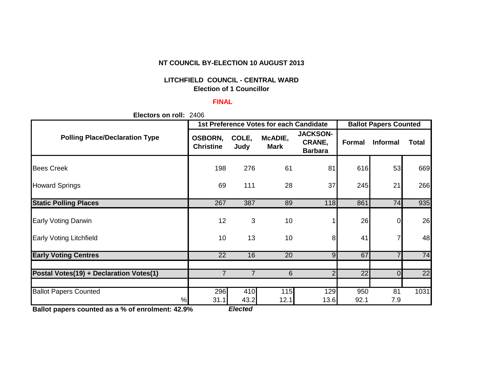## **NT COUNCIL BY-ELECTION 10 AUGUST 2013**

# **LITCHFIELD COUNCIL - CENTRAL WARD Election of 1 Councillor**

## **FINAL**

**Electors on roll:** 2406

|                                                                                           | <b>1st Preference Votes for each Candidate</b> |                           | <b>Ballot Papers Counted</b> |                                             |               |                 |              |
|-------------------------------------------------------------------------------------------|------------------------------------------------|---------------------------|------------------------------|---------------------------------------------|---------------|-----------------|--------------|
| <b>Polling Place/Declaration Type</b>                                                     | <b>OSBORN,</b><br><b>Christine</b>             | COLE,<br>Judy             | McADIE,<br><b>Mark</b>       | <b>JACKSON-</b><br>CRANE,<br><b>Barbara</b> | <b>Formal</b> | <b>Informal</b> | <b>Total</b> |
| <b>Bees Creek</b>                                                                         | 198                                            | 276                       | 61                           | 81                                          | 616           | 53              | 669          |
| <b>Howard Springs</b>                                                                     | 69                                             | 111                       | 28                           | 37                                          | 245           | 21              | 266          |
| <b>Static Polling Places</b>                                                              | 267                                            | 387                       | 89                           | 118                                         | 861           | 74              | 935          |
| <b>Early Voting Darwin</b>                                                                | 12                                             | 3                         | 10                           |                                             | 26            | 0               | 26           |
| <b>Early Voting Litchfield</b>                                                            | 10                                             | 13                        | 10                           | 8                                           | 41            |                 | 48           |
| <b>Early Voting Centres</b>                                                               | 22                                             | 16                        | 20                           | 9                                           | 67            |                 | 74           |
|                                                                                           |                                                |                           |                              |                                             |               |                 |              |
| Postal Votes(19) + Declaration Votes(1)                                                   | $\overline{7}$                                 | $\overline{7}$            | 6                            | 2                                           | 22            | $\Omega$        | 22           |
| <b>Ballot Papers Counted</b><br>%<br>Dellat nonove counted on a 0/ of envelopment: 49,00/ | 296<br>31.1                                    | 410<br>43.2<br>$E$ lootod | 115<br>12.1                  | 129<br>13.6                                 | 950<br>92.1   | 81<br>7.9       | 1031         |

**Ballot papers counted as a % of enrolment: 42.9%** *Elected*